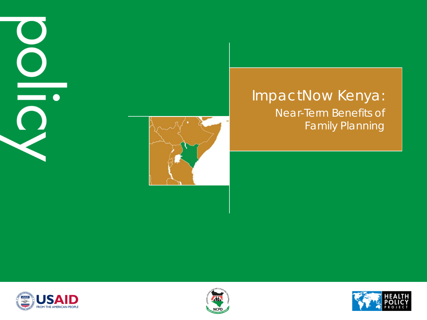# $\overline{\phantom{a}}$



#### ImpactNow Kenya: Near-Term Benefits of Family Planning





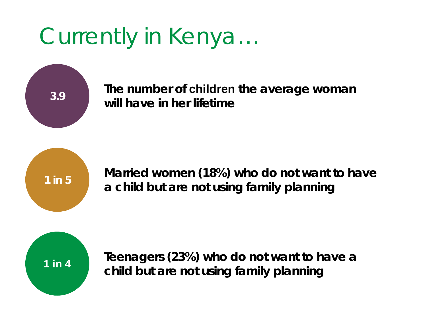#### Currently in Kenya…

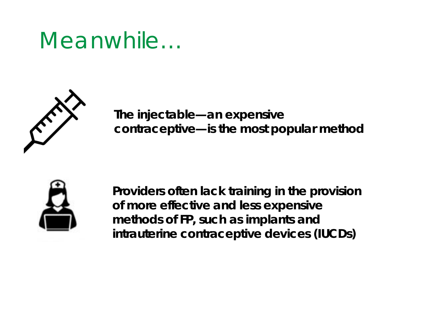#### Meanwhile…



**The injectable—an expensive contraceptive—is the most popular method** 



**Providers often lack training in the provision of more effective and less expensive methods of FP, such as implants and intrauterine contraceptive devices (IUCDs)**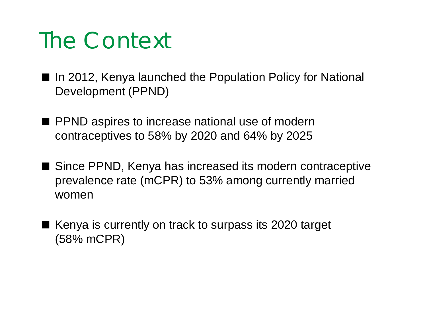#### The Context

- In 2012, Kenya launched the Population Policy for National Development (PPND)
- PPND aspires to increase national use of modern contraceptives to 58% by 2020 and 64% by 2025
- Since PPND, Kenya has increased its modern contraceptive prevalence rate (mCPR) to 53% among currently married women
- $\blacksquare$  Kenya is currently on track to surpass its 2020 target (58% mCPR)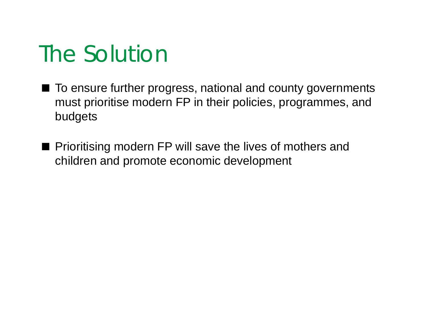#### The Solution

- To ensure further progress, national and county governments must prioritise modern FP in their policies, programmes, and budgets
- **Prioritising modern FP will save the lives of mothers and** children and promote economic development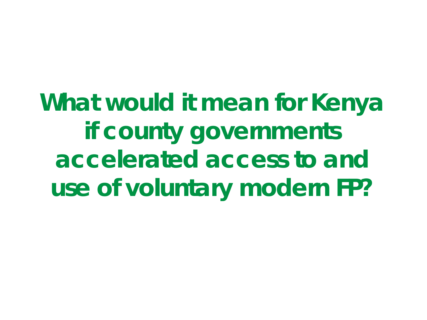**What would it mean for Kenya if county governments accelerated access to and use of voluntary modern FP?**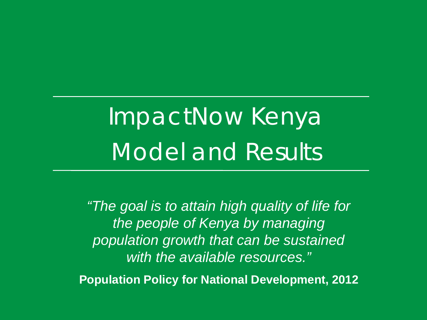## ImpactNow Kenya Model and Results

*"The goal is to attain high quality of life for the people of Kenya by managing population growth that can be sustained with the available resources."* **Population Policy for National Development, 2012**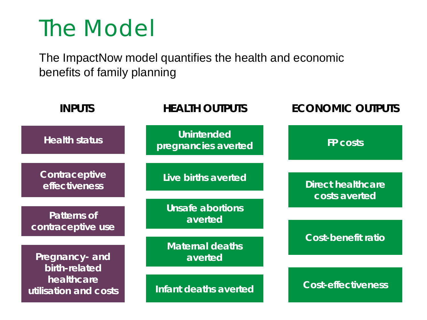#### The Model

The ImpactNow model quantifies the health and economic benefits of family planning

| <b>INPUTS</b>                                                          | <b>HEALTH OUTPUTS</b>                    | <b>ECONOMIC OUTPUTS</b>                   |  |
|------------------------------------------------------------------------|------------------------------------------|-------------------------------------------|--|
| <b>Health status</b>                                                   | <b>Unintended</b><br>pregnancies averted | <b>FP costs</b>                           |  |
| Contraceptive<br><b>effectiveness</b>                                  | Live births averted                      | <b>Direct healthcare</b><br>costs averted |  |
| <b>Patterns of</b><br>contraceptive use                                | Unsafe abortions<br>averted              |                                           |  |
| Pregnancy- and<br>birth-related<br>healthcare<br>utilisation and costs | <b>Maternal deaths</b><br>averted        | <b>Cost-benefit ratio</b>                 |  |
|                                                                        | Infant deaths averted                    | <b>Cost-effectiveness</b>                 |  |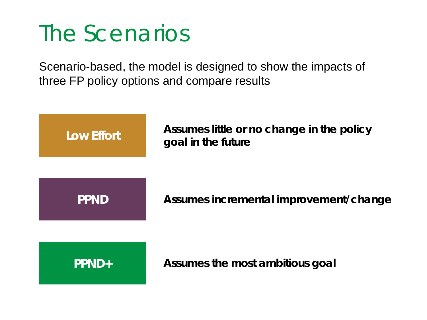#### The Scenarios

Scenario-based, the model is designed to show the impacts of three FP policy options and compare results

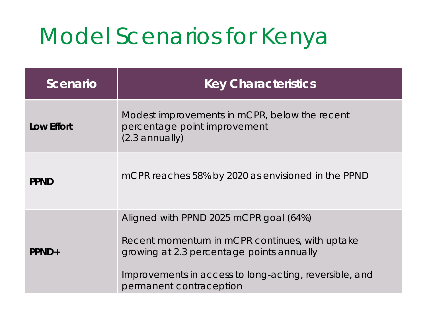#### Model Scenarios for Kenya

| <b>Scenario</b>   | <b>Key Characteristics</b>                                                                                                                                                                                                 |  |  |
|-------------------|----------------------------------------------------------------------------------------------------------------------------------------------------------------------------------------------------------------------------|--|--|
| <b>Low Effort</b> | Modest improvements in mCPR, below the recent<br>percentage point improvement<br>$(2.3$ annually)                                                                                                                          |  |  |
| <b>PPND</b>       | mCPR reaches 58% by 2020 as envisioned in the PPND                                                                                                                                                                         |  |  |
| PPND+             | Aligned with PPND 2025 mCPR goal (64%)<br>Recent momentum in mCPR continues, with uptake<br>growing at 2.3 percentage points annually<br>Improvements in access to long-acting, reversible, and<br>permanent contraception |  |  |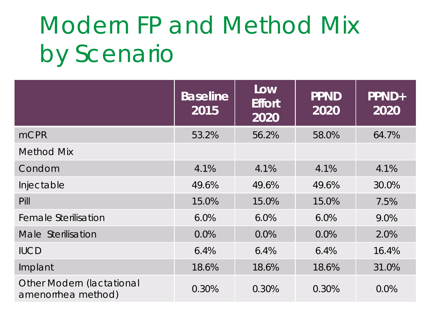### Modern FP and Method Mix by Scenario

|                                                 | <b>Baseline</b><br>2015 | Low<br><b>Effort</b><br>2020 | <b>PPND</b><br>2020 | PPND+<br>2020 |
|-------------------------------------------------|-------------------------|------------------------------|---------------------|---------------|
| <b>mCPR</b>                                     | 53.2%                   | 56.2%                        | 58.0%               | 64.7%         |
| <b>Method Mix</b>                               |                         |                              |                     |               |
| Condom                                          | 4.1%                    | 4.1%                         | 4.1%                | 4.1%          |
| Injectable                                      | 49.6%                   | 49.6%                        | 49.6%               | 30.0%         |
| Pill                                            | 15.0%                   | 15.0%                        | 15.0%               | 7.5%          |
| <b>Female Sterilisation</b>                     | 6.0%                    | 6.0%                         | 6.0%                | 9.0%          |
| Male Sterilisation                              | 0.0%                    | 0.0%                         | 0.0%                | 2.0%          |
| <b>IUCD</b>                                     | 6.4%                    | 6.4%                         | 6.4%                | 16.4%         |
| Implant                                         | 18.6%                   | 18.6%                        | 18.6%               | 31.0%         |
| Other Modern (lactational<br>amenorrhea method) | 0.30%                   | 0.30%                        | 0.30%               | 0.0%          |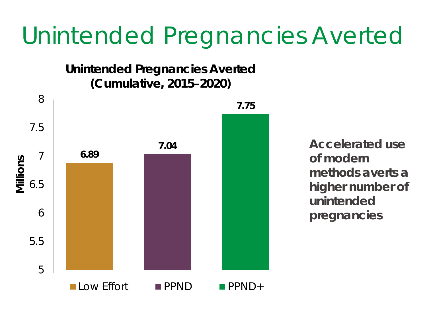#### Unintended Pregnancies Averted

**Unintended Pregnancies Averted (Cumulative, 2015–2020)**



**Accelerated use of modern methods averts a higher number of unintended pregnancies**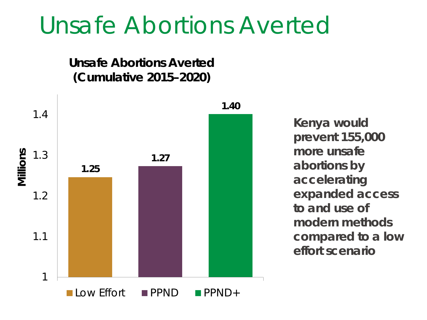#### Unsafe Abortions Averted

**Unsafe Abortions Averted (Cumulative 2015–2020)**



**Kenya would prevent 155,000 more unsafe abortions by accelerating expanded access to and use of modern methods compared to a low effort scenario**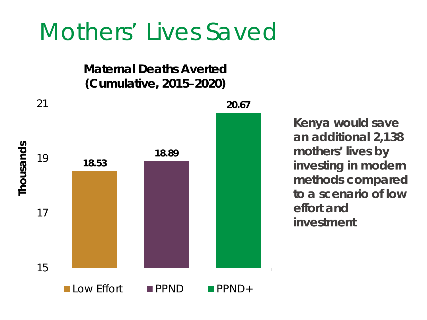#### Mothers' Lives Saved

**Maternal Deaths Averted (Cumulative, 2015–2020)**



**Kenya would save an additional 2,138 mothers' lives by investing in modern methods compared to a scenario of low effort and investment**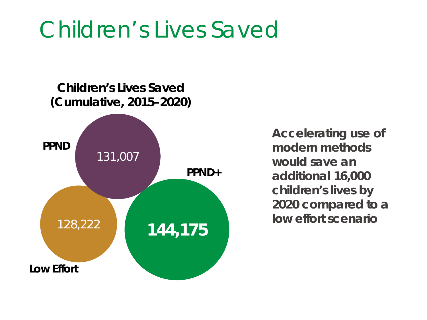#### Children's Lives Saved

**Children's Lives Saved (Cumulative, 2015–2020)**



**Accelerating use of modern methods would save an additional 16,000 children's lives by 2020 compared to a low effort scenario**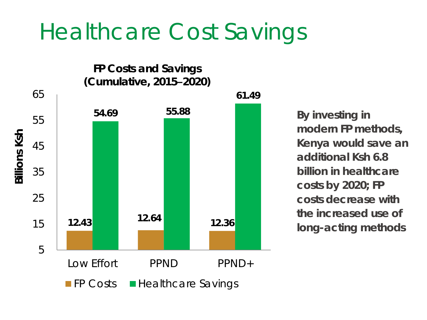#### Healthcare Cost Savings

**FP Costs and Savings (Cumulative, 2015–2020)**

65



**61.49**

**By investing in modern FP methods, Kenya would save an additional Ksh 6.8 billion in healthcare costs by 2020; FP costs decrease with the increased use of long-acting methods**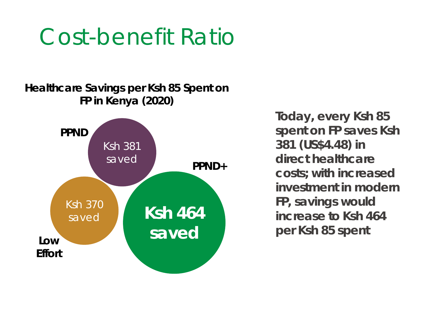#### Cost-benefit Ratio

#### **Healthcare Savings per Ksh 85 Spent on FP in Kenya (2020)**



**Today, every Ksh 85 spent on FP saves Ksh 381 (US\$4.48) in direct healthcare costs; with increased investment in modern FP, savings would increase to Ksh 464 per Ksh 85 spent**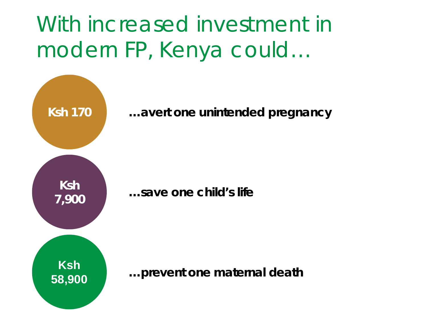#### With increased investment in modern FP, Kenya could…

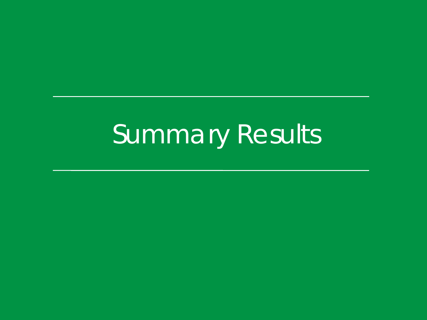## Summary Results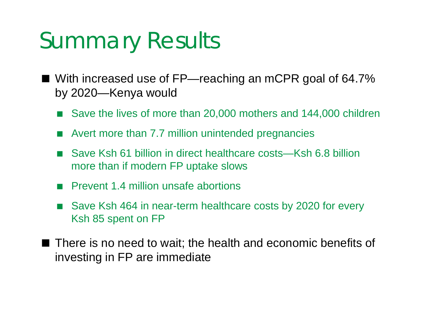#### Summary Results

- With increased use of FP—reaching an mCPR goal of 64.7% by 2020—Kenya would
	- Save the lives of more than 20,000 mothers and 144,000 children
	- Avert more than 7.7 million unintended pregnancies
	- Save Ksh 61 billion in direct healthcare costs—Ksh 6.8 billion more than if modern FP uptake slows
	- **Prevent 1.4 million unsafe abortions**
	- Save Ksh 464 in near-term healthcare costs by 2020 for every Ksh 85 spent on FP
- $\blacksquare$  There is no need to wait; the health and economic benefits of investing in FP are immediate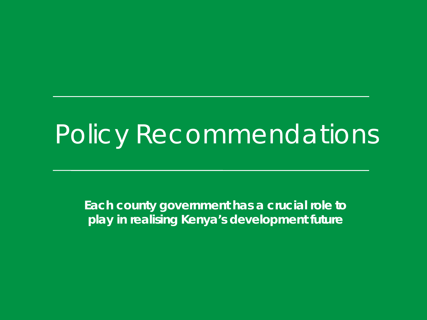### Policy Recommendations

*Each county government* **has a crucial role to play in realising Kenya's development future**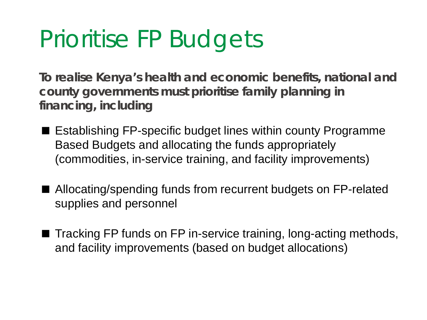#### Prioritise FP Budgets

**To realise Kenya's health and economic benefits, national and county governments must prioritise family planning in**  *financing***, including**

- $\blacksquare$  Establishing FP-specific budget lines within county Programme Based Budgets and allocating the funds appropriately (commodities, in-service training, and facility improvements)
- Allocating/spending funds from recurrent budgets on FP-related supplies and personnel
- Tracking FP funds on FP in-service training, long-acting methods, and facility improvements (based on budget allocations)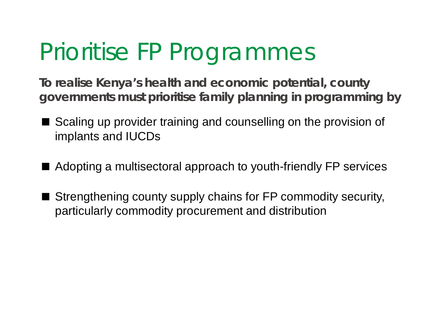#### Prioritise FP Programmes

**To realise Kenya's health and economic potential, county governments must prioritise family planning in** *programming* **by**

- Scaling up provider training and counselling on the provision of implants and IUCDs
- Adopting a multisectoral approach to youth-friendly FP services
- Strengthening county supply chains for FP commodity security, particularly commodity procurement and distribution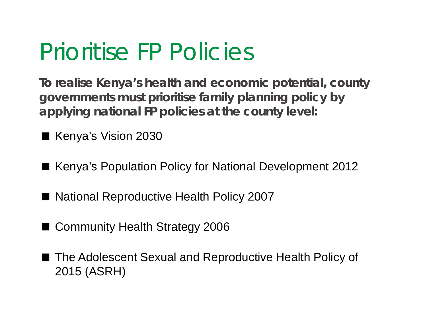#### Prioritise FP Policies

**To realise Kenya's health and economic potential, county governments must prioritise family planning** *policy* **by applying national FP policies at the county level:** 

■ Kenya's Vision 2030

- Kenya's Population Policy for National Development 2012
- National Reproductive Health Policy 2007
- Community Health Strategy 2006
- The Adolescent Sexual and Reproductive Health Policy of 2015 (ASRH)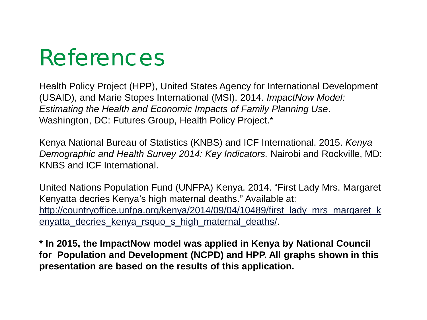#### References

Health Policy Project (HPP), United States Agency for International Development (USAID), and Marie Stopes International (MSI). 2014. *ImpactNow Model: Estimating the Health and Economic Impacts of Family Planning Use*. Washington, DC: Futures Group, Health Policy Project.\*

Kenya National Bureau of Statistics (KNBS) and ICF International. 2015. *Kenya Demographic and Health Survey 2014: Key Indicators.* Nairobi and Rockville, MD: KNBS and ICF International.

United Nations Population Fund (UNFPA) Kenya. 2014. "First Lady Mrs. Margaret Kenyatta decries Kenya's high maternal deaths." Available at: [http://countryoffice.unfpa.org/kenya/2014/09/04/10489/first\\_lady\\_mrs\\_margaret\\_k](http://countryoffice.unfpa.org/kenya/2014/09/04/10489/first_lady_mrs_margaret_kenyatta_decries_kenya_rsquo_s_high_maternal_deaths/) [enyatta\\_decries\\_kenya\\_rsquo\\_s\\_high\\_maternal\\_deaths/](http://countryoffice.unfpa.org/kenya/2014/09/04/10489/first_lady_mrs_margaret_kenyatta_decries_kenya_rsquo_s_high_maternal_deaths/).

**\* In 2015, the ImpactNow model was applied in Kenya by National Council for Population and Development (NCPD) and HPP. All graphs shown in this presentation are based on the results of this application.**